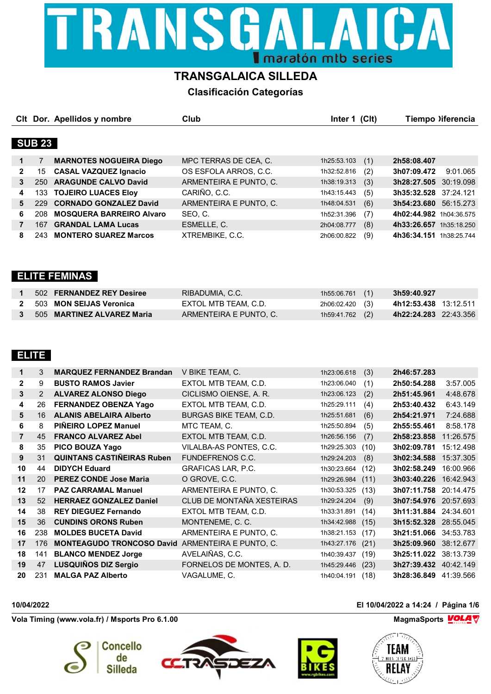

# **TRANSGALAICA SILLEDA**

**Clasificación Categorías**

|   |               | CIt Dor. Apellidos y nombre     | Club                   | (C <sub>l</sub> )<br>Inter 1 | Tiempo liferencia        |
|---|---------------|---------------------------------|------------------------|------------------------------|--------------------------|
|   |               |                                 |                        |                              |                          |
|   | <b>SUB 23</b> |                                 |                        |                              |                          |
| 1 |               | <b>MARNOTES NOGUEIRA Diego</b>  | MPC TERRAS DE CEA, C.  | (1)<br>1h25:53.103           | 2h58:08.407              |
| 2 | 15            | <b>CASAL VAZQUEZ Ignacio</b>    | OS ESFOLA ARROS, C.C.  | (2)<br>1h32:52.816           | 3h07:09.472<br>9:01.065  |
| 3 | 250.          | <b>ARAGUNDE CALVO David</b>     | ARMENTEIRA E PUNTO, C. | (3)<br>1h38:19.313           | 3h28:27.505<br>30:19.098 |
| 4 | 133           | <b>TOJEIRO LUACES Eloy</b>      | CARIÑO, C.C.           | (5)<br>1h43:15.443           | 3h35:32.528<br>37:24.121 |
| 5 | 229           | <b>CORNADO GONZALEZ David</b>   | ARMENTEIRA E PUNTO, C. | (6)<br>1h48:04.531           | 3h54:23.680<br>56:15.273 |
| 6 | 208           | <b>MOSQUERA BARREIRO Alvaro</b> | SEO, C.                | (7)<br>1h52:31.396           | 4h02:44.982 1h04:36.575  |
|   | 167           | <b>GRANDAL LAMA Lucas</b>       | ESMELLE, C.            | (8)<br>2h04:08.777           | 4h33:26.657 1h35:18.250  |
| 8 | 243.          | <b>MONTERO SUAREZ Marcos</b>    | XTREMBIKE, C.C.        | (9)<br>2h06:00.822           | 4h36:34.151 1h38:25.744  |

### **ELITE FEMINAS**

| 502 FERNANDEZ REY Desiree  | RIBADUMIA, C.C.        | $1h55:06.761$ (1) | 3h59:40.927           |
|----------------------------|------------------------|-------------------|-----------------------|
| 503 MON SEIJAS Veronica    | EXTOL MTB TEAM, C.D.   | 2h06:02.420 (3)   | 4h12:53.438 13:12.511 |
| 505 MARTINEZ ALVAREZ Maria | ARMENTEIRA E PUNTO. C. | $1h59:41.762$ (2) | 4h22:24.283 22:43.356 |

# **ELITE**

| 1              | 3   | <b>MARQUEZ FERNANDEZ Brandan</b>  | V BIKE TEAM, C.           | 1h23:06.618 | (3)  | 2h46:57.283 |           |
|----------------|-----|-----------------------------------|---------------------------|-------------|------|-------------|-----------|
| $\mathbf{2}$   | 9   | <b>BUSTO RAMOS Javier</b>         | EXTOL MTB TEAM, C.D.      | 1h23:06.040 | (1)  | 2h50:54.288 | 3:57.005  |
| 3              | 2   | <b>ALVAREZ ALONSO Diego</b>       | CICLISMO OIENSE, A. R.    | 1h23:06.123 | (2)  | 2h51:45.961 | 4:48.678  |
| 4              | 26  | <b>FERNANDEZ OBENZA Yago</b>      | EXTOL MTB TEAM, C.D.      | 1h25:29.111 | (4)  | 2h53:40.432 | 6:43.149  |
| 5              | 16  | <b>ALANIS ABELAIRA Alberto</b>    | BURGAS BIKE TEAM, C.D.    | 1h25:51.681 | (6)  | 2h54:21.971 | 7:24.688  |
| 6              | 8   | PIÑEIRO LOPEZ Manuel              | MTC TEAM, C.              | 1h25:50.894 | (5)  | 2h55:55.461 | 8:58.178  |
| $\overline{7}$ | 45  | <b>FRANCO ALVAREZ Abel</b>        | EXTOL MTB TEAM, C.D.      | 1h26:56.156 | (7)  | 2h58:23.858 | 11:26.575 |
| 8              | 35  | PICO BOUZA Yago                   | VILALBA-AS PONTES, C.C.   | 1h29:25.303 | (10) | 3h02:09.781 | 15:12.498 |
| 9              | 31  | <b>QUINTANS CASTINEIRAS Ruben</b> | <b>FUNDEFRENOS C.C.</b>   | 1h29:24.203 | (8)  | 3h02:34.588 | 15:37.305 |
| 10             | 44  | <b>DIDYCH Eduard</b>              | <b>GRAFICAS LAR, P.C.</b> | 1h30:23.664 | (12) | 3h02:58.249 | 16:00.966 |
| 11             | 20  | <b>PEREZ CONDE Jose Maria</b>     | O GROVE, C.C.             | 1h29:26.984 | (11) | 3h03:40.226 | 16:42.943 |
| 12             | 17  | <b>PAZ CARRAMAL Manuel</b>        | ARMENTEIRA E PUNTO, C.    | 1h30:53.325 | (13) | 3h07:11.758 | 20:14.475 |
| 13             | 52  | <b>HERRAEZ GONZALEZ Daniel</b>    | CLUB DE MONTAÑA XESTEIRAS | 1h29:24.204 | (9)  | 3h07:54.976 | 20:57.693 |
| 14             | 38  | <b>REY DIEGUEZ Fernando</b>       | EXTOL MTB TEAM, C.D.      | 1h33:31.891 | (14) | 3h11:31.884 | 24:34.601 |
| 15             | 36  | <b>CUNDINS ORONS Ruben</b>        | MONTENEME, C. C.          | 1h34:42.988 | (15) | 3h15:52.328 | 28:55.045 |
| 16             | 238 | <b>MOLDES BUCETA David</b>        | ARMENTEIRA E PUNTO, C.    | 1h38:21.153 | (17) | 3h21:51.066 | 34:53.783 |
| 17             | 176 | <b>MONTEAGUDO TRONCOSO David</b>  | ARMENTEIRA E PUNTO, C.    | 1h43:27.176 | (21) | 3h25:09.960 | 38:12.677 |
| 18             | 141 | <b>BLANCO MENDEZ Jorge</b>        | AVELAIÑAS, C.C.           | 1h40:39.437 | (19) | 3h25:11.022 | 38:13.739 |
| 19             | 47  | <b>LUSQUIÑOS DIZ Sergio</b>       | FORNELOS DE MONTES, A. D. | 1h45:29.446 | (23) | 3h27:39.432 | 40:42.149 |
| 20             | 231 | <b>MALGA PAZ Alberto</b>          | VAGALUME, C.              | 1h40:04.191 | (18) | 3h28:36.849 | 41:39.566 |

**Vola Timing (www.vola.fr) / Msports Pro 6.1.00 MagmaChanger of MagmaSports MagmaSports MagmaSports MagmaSports MagmaSports MagmaSports MagmaSports MagmaSports MagmaSports MagmaSports MagmaSports Ma** 









**10/04/2022 El 10/04/2022 a 14:24 / Página 1/6**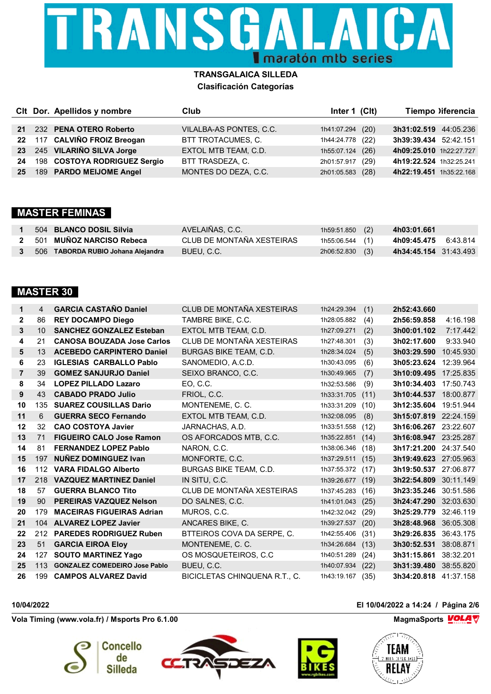

|  | CIt Dor. Apellidos y nombre     | Club                        | Inter 1 (CIt)       | Tiempo liferencia       |
|--|---------------------------------|-----------------------------|---------------------|-------------------------|
|  |                                 |                             |                     |                         |
|  | 21 232 PENA OTERO Roberto       | VILALBA-AS PONTES, C.C.     | 1h41:07.294 (20)    | 3h31:02.519 44:05.236   |
|  | 22 117 CALVIÑO FROIZ Breogan    | BTT TROTACUMES, C.          | 1h44:24.778 (22)    | 3h39:39.434 52:42.151   |
|  | 23 245 VILARIÑO SILVA Jorge     | <b>EXTOL MTB TEAM, C.D.</b> | 1h55:07.124 (26)    | 4h09:25.010 1h22:27.727 |
|  | 24 198 COSTOYA RODRIGUEZ Sergio | BTT TRASDEZA, C.            | 2h01:57.917<br>(29) | 4h19:22.524 1h32:25.241 |
|  | 25 189 PARDO MEIJOME Angel      | MONTES DO DEZA, C.C.        | 2h01:05.583 (28)    | 4h22:19.451 1h35:22.168 |

### **MASTER FEMINAS**

| 504 BLANCO DOSIL Silvia            | AVELAIÑAS, C.C.           | 1h59:51.850 (2)   | 4h03:01.661             |
|------------------------------------|---------------------------|-------------------|-------------------------|
| 2 501 MUÑOZ NARCISO Rebeca         | CLUB DE MONTAÑA XESTEIRAS | 1h55:06.544 (1)   | 4h09:45.475<br>6:43.814 |
| 506 TABORDA RUBIO Johana Alejandra | BUEU, C.C.                | $2h06:52.830$ (3) | 4h34:45.154 31:43.493   |

### **MASTER 30**

| 1              | 4   | <b>GARCIA CASTAÑO Daniel</b>         | CLUB DE MONTAÑA XESTEIRAS     | 1h24:29.394 | (1)  | 2h52:43.660           |           |
|----------------|-----|--------------------------------------|-------------------------------|-------------|------|-----------------------|-----------|
| $\mathbf{2}$   | 86  | <b>REY DOCAMPO Diego</b>             | TAMBRE BIKE, C.C.             | 1h28:05.882 | (4)  | 2h56:59.858           | 4:16.198  |
| 3              | 10  | <b>SANCHEZ GONZALEZ Esteban</b>      | EXTOL MTB TEAM, C.D.          | 1h27:09.271 | (2)  | 3h00:01.102           | 7:17.442  |
| 4              | 21  | <b>CANOSA BOUZADA Jose Carlos</b>    | CLUB DE MONTAÑA XESTEIRAS     | 1h27:48.301 | (3)  | 3h02:17.600           | 9:33.940  |
| 5              | 13  | <b>ACEBEDO CARPINTERO Daniel</b>     | <b>BURGAS BIKE TEAM, C.D.</b> | 1h28:34.024 | (5)  | 3h03:29.590           | 10:45.930 |
| 6              | 23  | <b>IGLESIAS CARBALLO Pablo</b>       | SANOMEDIO, A.C.D.             | 1h30:43.095 | (6)  | 3h05:23.624           | 12:39.964 |
| $\overline{7}$ | 39  | <b>GOMEZ SANJURJO Daniel</b>         | SEIXO BRANCO, C.C.            | 1h30:49.965 | (7)  | 3h10:09.495           | 17:25.835 |
| 8              | 34  | <b>LOPEZ PILLADO Lazaro</b>          | EO, C.C.                      | 1h32:53.586 | (9)  | 3h10:34.403           | 17:50.743 |
| 9              | 43  | <b>CABADO PRADO Julio</b>            | FRIOL, C.C.                   | 1h33:31.705 | (11) | 3h10:44.537           | 18:00.877 |
| 10             | 135 | <b>SUAREZ COUSILLAS Dario</b>        | MONTENEME, C.C.               | 1h33:31.209 | (10) | 3h12:35.604           | 19:51.944 |
| 11             | 6   | <b>GUERRA SECO Fernando</b>          | EXTOL MTB TEAM, C.D.          | 1h32:08.095 | (8)  | 3h15:07.819 22:24.159 |           |
| 12             | 32  | <b>CAO COSTOYA Javier</b>            | JARNACHAS, A.D.               | 1h33:51.558 | (12) | 3h16:06.267           | 23:22.607 |
| 13             | 71  | <b>FIGUEIRO CALO Jose Ramon</b>      | OS AFORCADOS MTB, C.C.        | 1h35:22.851 | (14) | 3h16:08.947           | 23:25.287 |
| 14             | 81  | <b>FERNANDEZ LOPEZ Pablo</b>         | NARON, C.C.                   | 1h38:06.346 | (18) | 3h17:21.200           | 24:37.540 |
| 15             | 197 | <b>NUÑEZ DOMINGUEZ Ivan</b>          | MONFORTE, C.C.                | 1h37:29.511 | (15) | 3h19:49.623 27:05.963 |           |
| 16             | 112 | <b>VARA FIDALGO Alberto</b>          | BURGAS BIKE TEAM, C.D.        | 1h37:55.372 | (17) | 3h19:50.537           | 27:06.877 |
| 17             |     | 218 VAZQUEZ MARTINEZ Daniel          | IN SITU, C.C.                 | 1h39:26.677 | (19) | 3h22:54.809           | 30:11.149 |
| 18             | 57  | <b>GUERRA BLANCO Tito</b>            | CLUB DE MONTAÑA XESTEIRAS     | 1h37:45.283 | (16) | 3h23:35.246           | 30:51.586 |
| 19             | 90  | <b>PEREIRAS VAZQUEZ Nelson</b>       | DO SALNES, C.C.               | 1h41:01.043 | (25) | 3h24:47.290           | 32:03.630 |
| 20             | 179 | <b>MACEIRAS FIGUEIRAS Adrian</b>     | MUROS, C.C.                   | 1h42:32.042 | (29) | 3h25:29.779           | 32:46.119 |
| 21             |     | 104 ALVAREZ LOPEZ Javier             | ANCARES BIKE, C.              | 1h39:27.537 | (20) | 3h28:48.968           | 36:05.308 |
| 22             | 212 | <b>PAREDES RODRIGUEZ Ruben</b>       | BTTEIROS COVA DA SERPE, C.    | 1h42:55.406 | (31) | 3h29:26.835           | 36:43.175 |
| 23             | 51  | <b>GARCIA EIROA Eloy</b>             | MONTENEME, C. C.              | 1h34:26.684 | (13) | 3h30:52.531           | 38:08.871 |
| 24             | 127 | <b>SOUTO MARTINEZ Yago</b>           | OS MOSQUETEIROS, C.C.         | 1h40:51.289 | (24) | 3h31:15.861           | 38:32.201 |
| 25             | 113 | <b>GONZALEZ COMEDEIRO Jose Pablo</b> | BUEU, C.C.                    | 1h40:07.934 | (22) | 3h31:39.480           | 38:55.820 |
| 26             | 199 | <b>CAMPOS ALVAREZ David</b>          | BICICLETAS CHINQUENA R.T., C. | 1h43:19.167 | (35) | 3h34:20.818 41:37.158 |           |

**Vola Timing (www.vola.fr) / Msports Pro 6.1.00 MagmaSports** MagmaSports MagmaSports Motors Motors Motors Motors Motors Motors Motors Motors Motors Motors Motors Motors Motors Motors Motors Motors Motors Motors Motors M







# **10/04/2022 El 10/04/2022 a 14:24 / Página 2/6**

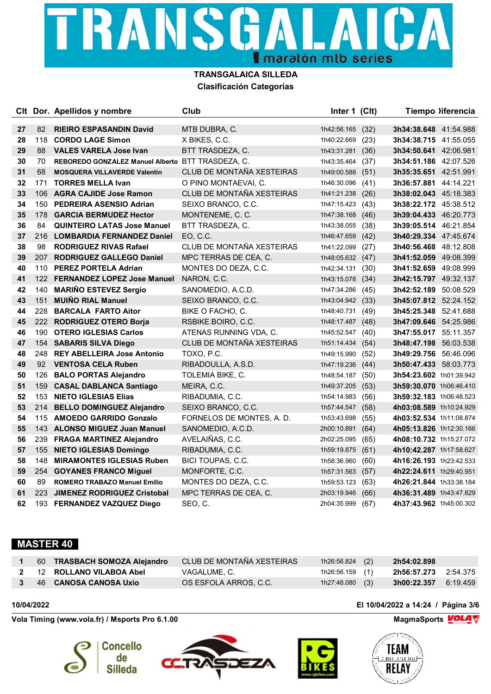

|    |     | CIt Dor. Apellidos y nombre                       | Club                      | Inter 1 (Clt)    |      |                              | Tiempo )iferencia |
|----|-----|---------------------------------------------------|---------------------------|------------------|------|------------------------------|-------------------|
| 27 | 82  | <b>RIEIRO ESPASANDIN David</b>                    | MTB DUBRA, C.             | 1h42:56.165      | (32) | 3h34:38.648 41:54.988        |                   |
| 28 | 118 | <b>CORDO LAGE Simon</b>                           | X BIKES, C.C.             | 1h40:22.669      | (23) | 3h34:38.715 41:55.055        |                   |
| 29 | 88  | <b>VALES VARELA Jose Ivan</b>                     | BTT TRASDEZA, C.          | 1h43:31.281      | (36) | <b>3h34:50.641</b> 42:06.981 |                   |
| 30 | 70  | REBOREDO GONZALEZ Manuel Alberto BTT TRASDEZA, C. |                           | 1h43:35.464      | (37) | <b>3h34:51.186</b> 42:07.526 |                   |
| 31 | 68  | <b>MOSQUERA VILLAVERDE Valentin</b>               | CLUB DE MONTAÑA XESTEIRAS | 1h49:00.588      | (51) | 3h35:35.651 42:51.991        |                   |
| 32 | 171 | <b>TORRES MELLA Ivan</b>                          | O PINO MONTAEVAI, C.      | 1h46:30.096 (41) |      | 3h36:57.881 44:14.221        |                   |
| 33 |     | 106 AGRA CAJIDE Jose Ramon                        | CLUB DE MONTAÑA XESTEIRAS | 1h41:21.238      | (26) | 3h38:02.043 45:18.383        |                   |
| 34 |     | 150 PEDREIRA ASENSIO Adrian                       | SEIXO BRANCO, C.C.        | 1h47:15.423 (43) |      | 3h38:22.172 45:38.512        |                   |
| 35 | 178 | <b>GARCIA BERMUDEZ Hector</b>                     | MONTENEME, C. C.          | 1h47:38.168 (46) |      | <b>3h39:04.433</b> 46:20.773 |                   |
| 36 | 84  | <b>QUINTEIRO LATAS Jose Manuel</b>                | BTT TRASDEZA, C.          | 1h43:38.055      | (38) | <b>3h39:05.514</b> 46:21.854 |                   |
| 37 | 216 | <b>LOMBARDIA FERNANDEZ Daniel</b>                 | EO, C.C.                  | 1h46:47.659 (42) |      | 3h40:29.334 47:45.674        |                   |
| 38 | 98  | <b>RODRIGUEZ RIVAS Rafael</b>                     | CLUB DE MONTAÑA XESTEIRAS | 1h41:22.099 (27) |      | 3h40:56.468 48:12.808        |                   |
| 39 | 207 | <b>RODRIGUEZ GALLEGO Daniel</b>                   | MPC TERRAS DE CEA, C.     | 1h48:05.632 (47) |      | 3h41:52.059 49:08.399        |                   |
| 40 |     | 110 PEREZ PORTELA Adrian                          | MONTES DO DEZA, C.C.      | 1h42:34.131      | (30) | 3h41:52.659 49:08.999        |                   |
| 41 |     | 122 FERNANDEZ LOPEZ Jose Manuel                   | NARON, C.C.               | 1h43:15.078      | (34) | <b>3h42:15.797</b> 49:32.137 |                   |
| 42 | 140 | <b>MARINO ESTEVEZ Sergio</b>                      | SANOMEDIO, A.C.D.         | 1h47:34.286      | (45) | 3h42:52.189 50:08.529        |                   |
| 43 | 151 | <b>MUIÑO RIAL Manuel</b>                          | SEIXO BRANCO, C.C.        | 1h43:04.942      | (33) | <b>3h45:07.812</b> 52:24.152 |                   |
| 44 | 228 | <b>BARCALA FARTO Aitor</b>                        | BIKE O FACHO, C.          | 1h48:40.731      | (49) | <b>3h45:25.348</b> 52:41.688 |                   |
| 45 | 222 | <b>RODRIGUEZ OTERO Borja</b>                      | RSBIKE.BOIRO, C.C.        | 1h48:17.487 (48) |      | 3h47:09.646 54:25.986        |                   |
| 46 |     | 190 OTERO IGLESIAS Carlos                         | ATENAS RUNNING VDA, C.    | 1h45:52.547 (40) |      | 3h47:55.017 55:11.357        |                   |
| 47 | 154 | <b>SABARIS SILVA Diego</b>                        | CLUB DE MONTAÑA XESTEIRAS | 1h51:14.434      | (54) | <b>3h48:47.198</b> 56:03.538 |                   |
| 48 |     | 248 REY ABELLEIRA Jose Antonio                    | TOXO, P.C.                | 1h49:15.990      | (52) | <b>3h49:29.756</b> 56:46.096 |                   |
| 49 | 92  | <b>VENTOSA CELA Ruben</b>                         | RIBADOULLA, A.S.D.        | 1h47:19.236      | (44) | <b>3h50:47.433</b> 58:03.773 |                   |
| 50 | 126 | <b>BALO PORTAS Alejandro</b>                      | TOLEMIA BIKE, C.          | 1h48:54.187      | (50) | 3h54:23.602 1h01:39.942      |                   |
| 51 | 159 | <b>CASAL DABLANCA Santiago</b>                    | MEIRA, C.C.               | 1h49:37.205      | (53) | 3h59:30.070 1h06:46.410      |                   |
| 52 | 153 | <b>NIETO IGLESIAS Elias</b>                       | RIBADUMIA, C.C.           | 1h54:14.983      | (56) | 3h59:32.183 1h06:48.523      |                   |
| 53 | 214 | <b>BELLO DOMINGUEZ Alejandro</b>                  | SEIXO BRANCO, C.C.        | 1h57:44.547      | (58) | 4h03:08.589 1h10:24.929      |                   |
| 54 | 115 | <b>AMOEDO GARRIDO Gonzalo</b>                     | FORNELOS DE MONTES, A. D. | 1h53:43.698      | (55) | 4h03:52.534 1h11:08.874      |                   |
| 55 |     | 143 ALONSO MIGUEZ Juan Manuel                     | SANOMEDIO, A.C.D.         | 2h00:10.891      | (64) | 4h05:13.826 1h12:30.166      |                   |
| 56 |     | 239 FRAGA MARTINEZ Alejandro                      | AVELAIÑAS, C.C.           | 2h02:25.095      | (65) | 4h08:10.732 1h15:27.072      |                   |
| 57 | 155 | <b>NIETO IGLESIAS Domingo</b>                     | RIBADUMIA, C.C.           | 1h59:19.875      | (61) | 4h10:42.287 1h17:58.627      |                   |
| 58 | 148 | <b>MIRAMONTES IGLESIAS Ruben</b>                  | BICI TOUPAS, C.C.         | 1h58:36.960      | (60) | 4h16:26.193 1h23:42.533      |                   |
| 59 | 254 | <b>GOYANES FRANCO Miguel</b>                      | MONFORTE, C.C.            | 1h57:31.563      | (57) | 4h22:24.611 1h29:40.951      |                   |
| 60 | 89  | <b>ROMERO TRABAZO Manuel Emilio</b>               | MONTES DO DEZA, C.C.      | 1h59:53.123      | (63) | 4h26:21.844 1h33:38.184      |                   |
| 61 | 223 | <b>JIMENEZ RODRIGUEZ Cristobal</b>                | MPC TERRAS DE CEA, C.     | 2h03:19.946      | (66) | 4h36:31.489 1h43:47.829      |                   |
| 62 | 193 | <b>FERNANDEZ VAZQUEZ Diego</b>                    | SEO, C.                   | 2h04:35.999      | (67) | 4h37:43.962 1h45:00.302      |                   |

### **MASTER 40**

|  | 60 TRASBACH SOMOZA Alejandro | CLUB DE MONTAÑA XESTEIRAS | 1h26:56.824 $(2)$ | 2h54:02.898          |  |
|--|------------------------------|---------------------------|-------------------|----------------------|--|
|  | 2 12 ROLLANO VILABOA Abel    | VAGALUME. C.              | 1h26:56.159 (1)   |                      |  |
|  | 46 CANOSA CANOSA Uxio        | OS ESFOLA ARROS, C.C.     | $1h27:48.080$ (3) | 3h00:22.357 6:19.459 |  |

**Vola Timing (www.vola.fr) / Msports Pro 6.1.00 MagmaSports** MagmaSports MagmaSports Motors Motors Motors Motors Motors Motors Motors Motors Motors Motors Motors Motors Motors Motors Motors Motors Motors Motors Motors M









**10/04/2022 El 10/04/2022 a 14:24 / Página 3/6**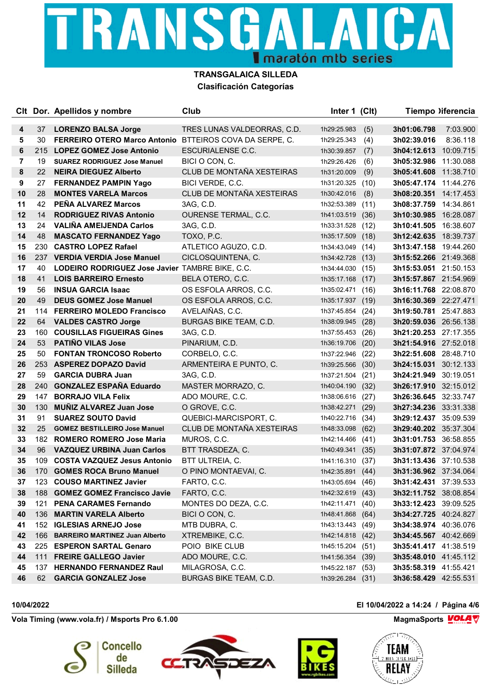

|    |     | CIt Dor. Apellidos y nombre                                    | Club                          | Inter 1 (Clt)    |      |                              | Tiempo liferencia |
|----|-----|----------------------------------------------------------------|-------------------------------|------------------|------|------------------------------|-------------------|
| 4  | 37  | <b>LORENZO BALSA Jorge</b>                                     | TRES LUNAS VALDEORRAS, C.D.   | 1h29:25.983      | (5)  | 3h01:06.798                  | 7:03.900          |
| 5  | 30  | <b>FERREIRO OTERO Marco Antonio BTTEIROS COVA DA SERPE, C.</b> |                               | 1h29:25.343      | (4)  | 3h02:39.016                  | 8:36.118          |
| 6  | 215 | <b>LOPEZ GOMEZ Jose Antonio</b>                                | ESCURIALENSE C.C.             | 1h30:39.857      | (7)  | 3h04:12.613 10:09.715        |                   |
| 7  | 19  | <b>SUAREZ RODRIGUEZ Jose Manuel</b>                            | BICI O CON, C.                | 1h29:26.426      | (6)  | 3h05:32.986 11:30.088        |                   |
| 8  | 22  | <b>NEIRA DIEGUEZ Alberto</b>                                   | CLUB DE MONTAÑA XESTEIRAS     | 1h31:20.009      | (9)  | 3h05:41.608 11:38.710        |                   |
| 9  | 27  | <b>FERNANDEZ PAMPIN Yago</b>                                   | BICI VERDE, C.C.              | 1h31:20.325      | (10) | 3h05:47.174 11:44.276        |                   |
| 10 | 28  | <b>MONTES VARELA Marcos</b>                                    | CLUB DE MONTAÑA XESTEIRAS     | 1h30:42.016      | (8)  | 3h08:20.351 14:17.453        |                   |
| 11 | 42  | PEÑA ALVAREZ Marcos                                            | 3AG, C.D.                     | 1h32:53.389      | (11) | 3h08:37.759 14:34.861        |                   |
| 12 | 14  | <b>RODRIGUEZ RIVAS Antonio</b>                                 | OURENSE TERMAL, C.C.          | 1h41:03.519      | (36) | 3h10:30.985 16:28.087        |                   |
| 13 | 24  | <b>VALIÑA AMEIJENDA Carlos</b>                                 | 3AG, C.D.                     | 1h33:31.528      | (12) | 3h10:41.505 16:38.607        |                   |
| 14 | 48  | <b>MASCATO FERNANDEZ Yago</b>                                  | TOXO, P.C.                    | 1h35:17.509      | (18) | 3h12:42.635 18:39.737        |                   |
| 15 | 230 | <b>CASTRO LOPEZ Rafael</b>                                     | ATLETICO AGUZO, C.D.          | 1h34:43.049 (14) |      | 3h13:47.158 19:44.260        |                   |
| 16 |     | 237 VERDIA VERDIA Jose Manuel                                  | CICLOSQUINTENA, C.            | 1h34:42.728      | (13) | 3h15:52.266 21:49.368        |                   |
| 17 | 40  | LODEIRO RODRIGUEZ Jose Javier TAMBRE BIKE, C.C.                |                               | 1h34:44.030      | (15) | 3h15:53.051 21:50.153        |                   |
| 18 | 41  | <b>LOIS BARREIRO Ernesto</b>                                   | BELA OTERO, C.C.              | 1h35:17.168      | (17) | 3h15:57.867 21:54.969        |                   |
| 19 | 56  | <b>INSUA GARCIA Isaac</b>                                      | OS ESFOLA ARROS, C.C.         | 1h35:02.471      | (16) | 3h16:11.768 22:08.870        |                   |
| 20 | 49  | <b>DEUS GOMEZ Jose Manuel</b>                                  | OS ESFOLA ARROS, C.C.         | 1h35:17.937      | (19) | 3h16:30.369 22:27.471        |                   |
| 21 | 114 | <b>FERREIRO MOLEDO Francisco</b>                               | AVELAIÑAS, C.C.               | 1h37:45.854      | (24) | 3h19:50.781 25:47.883        |                   |
| 22 | 64  | <b>VALDES CASTRO Jorge</b>                                     | BURGAS BIKE TEAM, C.D.        | 1h38:09.945 (28) |      | 3h20:59.036 26:56.138        |                   |
| 23 | 160 | <b>COUSILLAS FIGUEIRAS Gines</b>                               | 3AG, C.D.                     | 1h37:55.453      | (26) | 3h21:20.253 27:17.355        |                   |
| 24 | 53  | <b>PATIÑO VILAS Jose</b>                                       | PINARIUM, C.D.                | 1h36:19.706      | (20) | 3h21:54.916 27:52.018        |                   |
| 25 | 50  | <b>FONTAN TRONCOSO Roberto</b>                                 | CORBELO, C.C.                 | 1h37:22.946      | (22) | 3h22:51.608 28:48.710        |                   |
| 26 | 253 | <b>ASPEREZ DOPAZO David</b>                                    | ARMENTEIRA E PUNTO, C.        | 1h39:25.566      | (30) | <b>3h24:15.031</b> 30:12.133 |                   |
| 27 | 59  | <b>GARCIA DUBRA Juan</b>                                       | 3AG, C.D.                     | 1h37:21.504      | (21) | 3h24:21.949 30:19.051        |                   |
| 28 | 240 | <b>GONZALEZ ESPAÑA Eduardo</b>                                 | MASTER MORRAZO, C.            | 1h40:04.190      | (32) | 3h26:17.910 32:15.012        |                   |
| 29 |     | 147 BORRAJO VILA Felix                                         | ADO MOURE, C.C.               | 1h38:06.616      | (27) | 3h26:36.645 32:33.747        |                   |
| 30 | 130 | MUÑIZ ALVAREZ Juan Jose                                        | O GROVE, C.C.                 | 1h38:42.271      | (29) | 3h27:34.236 33:31.338        |                   |
| 31 | 91  | <b>SUAREZ SOUTO David</b>                                      | QUEBICI-MARCISPORT, C.        | 1h40:22.716      | (34) | 3h29:12.437 35:09.539        |                   |
| 32 | 25  | <b>GOMEZ BESTILLEIRO Jose Manuel</b>                           | CLUB DE MONTAÑA XESTEIRAS     | 1h48:33.098      | (62) | 3h29:40.202 35:37.304        |                   |
| 33 | 182 | <b>ROMERO ROMERO Jose Maria</b>                                | MUROS, C.C.                   | 1h42:14.466      | (41) | 3h31:01.753 36:58.855        |                   |
| 34 | 96  | <b>VAZQUEZ URBINA Juan Carlos</b>                              | BTT TRASDEZA, C.              | 1h40:49.341      | (35) | 3h31:07.872 37:04.974        |                   |
| 35 | 109 | <b>COSTA VAZQUEZ Jesus Antonio</b>                             | BTT ULTREIA, C.               | 1h41:16.310      | (37) | 3h31:13.436 37:10.538        |                   |
| 36 | 170 | <b>GOMES ROCA Bruno Manuel</b>                                 | O PINO MONTAEVAI, C.          | 1h42:35.891      | (44) | 3h31:36.962 37:34.064        |                   |
| 37 |     | 123 COUSO MARTINEZ Javier                                      | FARTO, C.C.                   | 1h43:05.694      | (46) | 3h31:42.431 37:39.533        |                   |
| 38 | 188 | <b>GOMEZ GOMEZ Francisco Javie</b>                             | FARTO, C.C.                   | 1h42:32.619      | (43) | 3h32:11.752 38:08.854        |                   |
| 39 | 121 | <b>PENA CARAMES Fernando</b>                                   | MONTES DO DEZA, C.C.          | 1h42:11.471      | (40) | 3h33:12.423 39:09.525        |                   |
| 40 |     | 136 MARTIN VARELA Alberto                                      | BICI O CON, C.                | 1h48:41.868      | (64) | <b>3h34:27.725</b> 40:24.827 |                   |
| 41 |     | 152 IGLESIAS ARNEJO Jose                                       | MTB DUBRA, C.                 | 1h43:13.443      | (49) | 3h34:38.974 40:36.076        |                   |
| 42 | 166 | <b>BARREIRO MARTINEZ Juan Alberto</b>                          | XTREMBIKE, C.C.               | 1h42:14.818      | (42) | 3h34:45.567 40:42.669        |                   |
| 43 |     | 225 ESPERON SARTAL Genaro                                      | POIO BIKE CLUB                | 1h45:15.204      | (51) | 3h35:41.417 41:38.519        |                   |
| 44 | 111 | <b>FREIRE GALLEGO Javier</b>                                   | ADO MOURE, C.C.               | 1h41:56.354      | (39) | 3h35:48.010 41:45.112        |                   |
| 45 | 137 | <b>HERNANDO FERNANDEZ Raul</b>                                 | MILAGROSA, C.C.               | 1h45:22.187      | (53) | 3h35:58.319 41:55.421        |                   |
| 46 | 62  | <b>GARCIA GONZALEZ Jose</b>                                    | <b>BURGAS BIKE TEAM, C.D.</b> | 1h39:26.284 (31) |      | <b>3h36:58.429</b> 42:55.531 |                   |

**Vola Timing (www.vola.fr) / Msports Pro 6.1.00 MagmaSports** MagmaSports MagmaSports Motors Motors Motors Motors Motors Motors Motors Motors Motors Motors Motors Motors Motors Motors Motors Motors Motors Motors Motors M









**10/04/2022 El 10/04/2022 a 14:24 / Página 4/6**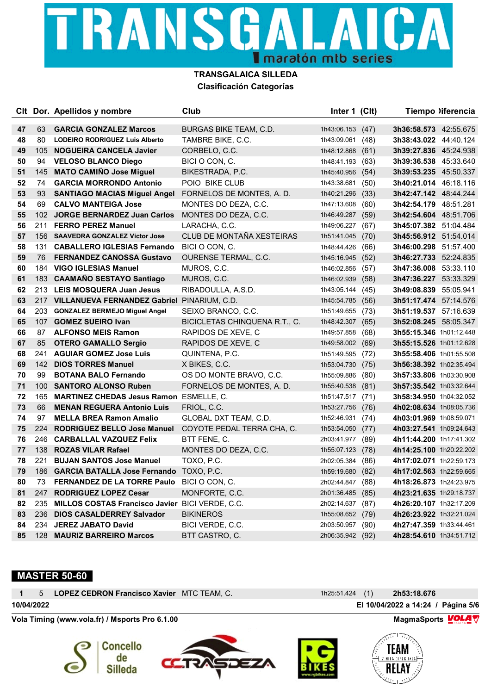

|    |     | CIt Dor. Apellidos y nombre                     | Club                          | Inter 1 (Clt)    |      |                              | Tiempo )iferencia |
|----|-----|-------------------------------------------------|-------------------------------|------------------|------|------------------------------|-------------------|
| 47 | 63  | <b>GARCIA GONZALEZ Marcos</b>                   | BURGAS BIKE TEAM, C.D.        | 1h43:06.153      | (47) | <b>3h36:58.573</b> 42:55.675 |                   |
| 48 | 80  | <b>LODEIRO RODRIGUEZ Luis Alberto</b>           | TAMBRE BIKE, C.C.             | 1h43:09.061      | (48) | 3h38:43.022 44:40.124        |                   |
| 49 | 105 | <b>NOGUEIRA CANCELA Javier</b>                  | CORBELO, C.C.                 | 1h48:12.868      | (61) | 3h39:27.836 45:24.938        |                   |
| 50 | 94  | <b>VELOSO BLANCO Diego</b>                      | BICI O CON, C.                | 1h48:41.193      | (63) | 3h39:36.538 45:33.640        |                   |
| 51 | 145 | <b>MATO CAMIÑO Jose Miguel</b>                  | BIKESTRADA, P.C.              | 1h45:40.956      | (54) | <b>3h39:53.235</b> 45:50.337 |                   |
| 52 | 74  | <b>GARCIA MORRONDO Antonio</b>                  | POIO BIKE CLUB                | 1h43:38.681      | (50) | 3h40:21.014 46:18.116        |                   |
| 53 | 93  | <b>SANTIAGO MACIAS Miguel Angel</b>             | FORNELOS DE MONTES, A. D.     | 1h40:21.296      | (33) | 3h42:47.142 48:44.244        |                   |
| 54 | 69  | <b>CALVO MANTEIGA Jose</b>                      | MONTES DO DEZA, C.C.          | 1h47:13.608      | (60) | 3h42:54.179 48:51.281        |                   |
| 55 | 102 | <b>JORGE BERNARDEZ Juan Carlos</b>              | MONTES DO DEZA, C.C.          | 1h46:49.287      | (59) | 3h42:54.604 48:51.706        |                   |
| 56 | 211 | <b>FERRO PEREZ Manuel</b>                       | LARACHA, C.C.                 | 1h49:06.227      | (67) | 3h45:07.382 51:04.484        |                   |
| 57 |     | 156 SAAVEDRA GONZALEZ Victor Jose               | CLUB DE MONTAÑA XESTEIRAS     | 1h51:41.045      | (70) | <b>3h45:56.912</b> 51:54.014 |                   |
| 58 | 131 | <b>CABALLERO IGLESIAS Fernando</b>              | BICI O CON, C.                | 1h48:44.426      | (66) | 3h46:00.298 51:57.400        |                   |
| 59 | 76  | <b>FERNANDEZ CANOSSA Gustavo</b>                | OURENSE TERMAL, C.C.          | 1h45:16.945      | (52) | 3h46:27.733 52:24.835        |                   |
| 60 |     | 184 VIGO IGLESIAS Manuel                        | MUROS, C.C.                   | 1h46:02.856      | (57) | 3h47:36.008 53:33.110        |                   |
| 61 |     | 183 CAAMAÑO SESTAYO Santiago                    | MUROS, C.C.                   | 1h46:02.939      | (58) | 3h47:36.227 53:33.329        |                   |
| 62 |     | 213 LEIS MOSQUERA Juan Jesus                    | RIBADOULLA, A.S.D.            | 1h43:05.144      | (45) | 3h49:08.839 55:05.941        |                   |
| 63 |     | 217 VILLANUEVA FERNANDEZ Gabriel PINARIUM, C.D. |                               | 1h45:54.785      | (56) | <b>3h51:17.474</b> 57:14.576 |                   |
| 64 | 203 | <b>GONZALEZ BERMEJO Miguel Angel</b>            | SEIXO BRANCO, C.C.            | 1h51:49.655      | (73) | 3h51:19.537 57:16.639        |                   |
| 65 |     | 107 GOMEZ SUEIRO Ivan                           | BICICLETAS CHINQUENA R.T., C. | 1h48:42.307 (65) |      | 3h52:08.245 58:05.347        |                   |
| 66 | 87  | <b>ALFONSO MEIS Ramon</b>                       | RAPIDOS DE XEVE, C            | 1h49:57.858      | (68) | 3h55:15.346 1h01:12.448      |                   |
| 67 | 85  | <b>OTERO GAMALLO Sergio</b>                     | RAPIDOS DE XEVE, C            | 1h49:58.002      | (69) | 3h55:15.526 1h01:12.628      |                   |
| 68 | 241 | <b>AGUIAR GOMEZ Jose Luis</b>                   | QUINTENA, P.C.                | 1h51:49.595      | (72) | 3h55:58.406 1h01:55.508      |                   |
| 69 | 142 | <b>DIOS TORRES Manuel</b>                       | X BIKES, C.C.                 | 1h53:04.730      | (75) | 3h56:38.392 1h02:35.494      |                   |
| 70 | 99  | <b>BOTANA BALO Fernando</b>                     | OS DO MONTE BRAVO, C.C.       | 1h55:09.886      | (80) | 3h57:33.806 1h03:30.908      |                   |
| 71 | 100 | <b>SANTORO ALONSO Ruben</b>                     | FORNELOS DE MONTES, A. D.     | 1h55:40.538      | (81) | 3h57:35.542 1h03:32.644      |                   |
| 72 | 165 | <b>MARTINEZ CHEDAS Jesus Ramon ESMELLE, C.</b>  |                               | 1h51:47.517      | (71) | 3h58:34.950 1h04:32.052      |                   |
| 73 | 66  | <b>MENAN REGUERA Antonio Luis</b>               | FRIOL, C.C.                   | 1h53:27.756      | (76) | 4h02:08.634 1h08:05.736      |                   |
| 74 | 97  | <b>MELLA BREA Ramon Amalio</b>                  | GLOBAL DXT TEAM, C.D.         | 1h52:46.931      | (74) | 4h03:01.969 1h08:59.071      |                   |
| 75 | 224 | <b>RODRIGUEZ BELLO Jose Manuel</b>              | COYOTE PEDAL TERRA CHA, C.    | 1h53:54.050      | (77) | 4h03:27.541 1h09:24.643      |                   |
| 76 | 246 | <b>CARBALLAL VAZQUEZ Felix</b>                  | BTT FENE, C.                  | 2h03:41.977      | (89) | 4h11:44.200 1h17:41.302      |                   |
| 77 | 138 | <b>ROZAS VILAR Rafael</b>                       | MONTES DO DEZA, C.C.          | 1h55:07.123      | (78) | 4h14:25.100 1h20:22.202      |                   |
| 78 | 221 | <b>BUJAN SANTOS Jose Manuel</b>                 | TOXO, P.C.                    | 2h02:05.384      | (86) | 4h17:02.071 1h22:59.173      |                   |
| 79 | 186 | <b>GARCIA BATALLA Jose Fernando</b>             | TOXO, P.C.                    | 1h59:19.680      | (82) | 4h17:02.563 1h22:59.665      |                   |
| 80 | 73  | <b>FERNANDEZ DE LA TORRE Paulo</b>              | BICI O CON, C.                | 2h02:44.847      | (88) | 4h18:26.873 1h24:23.975      |                   |
| 81 | 247 | <b>RODRIGUEZ LOPEZ Cesar</b>                    | MONFORTE, C.C.                | 2h01:36.485      | (85) | 4h23:21.635 1h29:18.737      |                   |
| 82 | 235 | MILLOS COSTAS Francisco Javier BICI VERDE, C.C. |                               | 2h02:14.637      | (87) | 4h26:20.107 1h32:17.209      |                   |
| 83 | 236 | <b>DIOS CASALDERREY Salvador</b>                | <b>BIKINEROS</b>              | 1h55:08.652      | (79) | 4h26:23.922 1h32:21.024      |                   |
| 84 |     | 234 JEREZ JABATO David                          | BICI VERDE, C.C.              | 2h03:50.957      | (90) | 4h27:47.359 1h33:44.461      |                   |
| 85 | 128 | <b>MAURIZ BARREIRO Marcos</b>                   | BTT CASTRO, C.                | 2h06:35.942 (92) |      | 4h28:54.610 1h34:51.712      |                   |

# **MASTER 50-60**

|            | 1 5 LOPEZ CEDRON Francisco Xavier MTC TEAM, C. |  | 1h25:51.424 (1) <b>2h53:18.676</b> |
|------------|------------------------------------------------|--|------------------------------------|
| 10/04/2022 |                                                |  | El 10/04/2022 a 14:24 / Página 5/6 |

Vola Timing (www.vola.fr) / Msports Pro 6.1.00 MagmaSports *⊻OLA* ∇